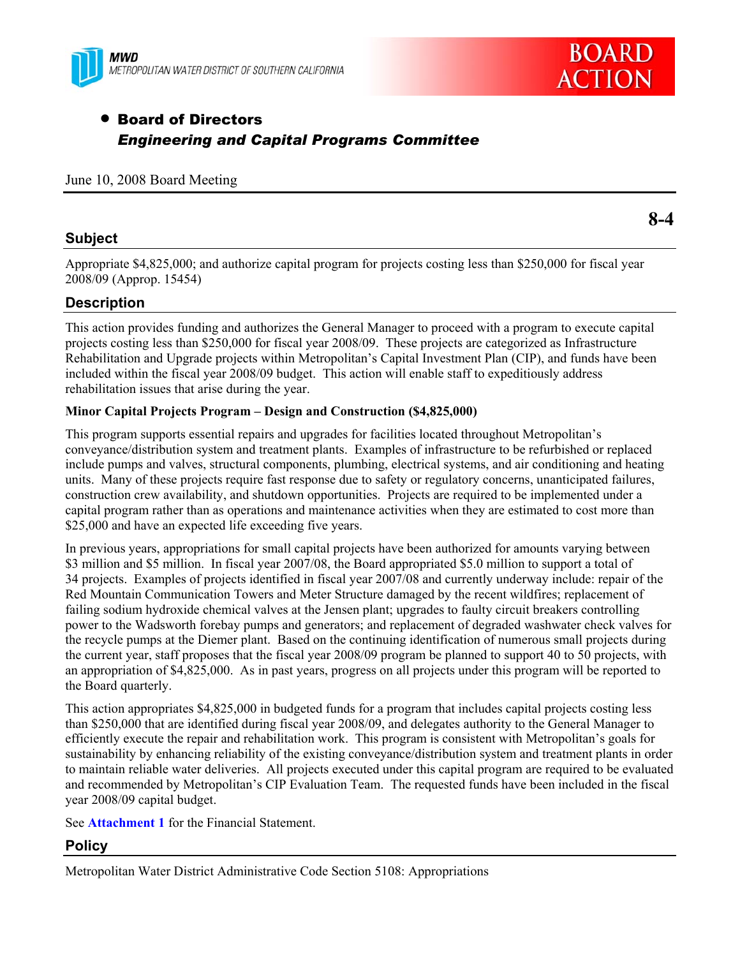



# • Board of Directors *Engineering and Capital Programs Committee*

### June 10, 2008 Board Meeting

### **Subject**

**8-4** 

Appropriate \$4,825,000; and authorize capital program for projects costing less than \$250,000 for fiscal year 2008/09 (Approp. 15454)

### **Description**

This action provides funding and authorizes the General Manager to proceed with a program to execute capital projects costing less than \$250,000 for fiscal year 2008/09. These projects are categorized as Infrastructure Rehabilitation and Upgrade projects within Metropolitan's Capital Investment Plan (CIP), and funds have been included within the fiscal year 2008/09 budget. This action will enable staff to expeditiously address rehabilitation issues that arise during the year.

#### **Minor Capital Projects Program – Design and Construction (\$4,825,000)**

This program supports essential repairs and upgrades for facilities located throughout Metropolitan's conveyance/distribution system and treatment plants. Examples of infrastructure to be refurbished or replaced include pumps and valves, structural components, plumbing, electrical systems, and air conditioning and heating units. Many of these projects require fast response due to safety or regulatory concerns, unanticipated failures, construction crew availability, and shutdown opportunities. Projects are required to be implemented under a capital program rather than as operations and maintenance activities when they are estimated to cost more than \$25,000 and have an expected life exceeding five years.

In previous years, appropriations for small capital projects have been authorized for amounts varying between \$3 million and \$5 million. In fiscal year 2007/08, the Board appropriated \$5.0 million to support a total of 34 projects. Examples of projects identified in fiscal year 2007/08 and currently underway include: repair of the Red Mountain Communication Towers and Meter Structure damaged by the recent wildfires; replacement of failing sodium hydroxide chemical valves at the Jensen plant; upgrades to faulty circuit breakers controlling power to the Wadsworth forebay pumps and generators; and replacement of degraded washwater check valves for the recycle pumps at the Diemer plant. Based on the continuing identification of numerous small projects during the current year, staff proposes that the fiscal year 2008/09 program be planned to support 40 to 50 projects, with an appropriation of \$4,825,000. As in past years, progress on all projects under this program will be reported to the Board quarterly.

This action appropriates \$4,825,000 in budgeted funds for a program that includes capital projects costing less than \$250,000 that are identified during fiscal year 2008/09, and delegates authority to the General Manager to efficiently execute the repair and rehabilitation work. This program is consistent with Metropolitan's goals for sustainability by enhancing reliability of the existing conveyance/distribution system and treatment plants in order to maintain reliable water deliveries. All projects executed under this capital program are required to be evaluated and recommended by Metropolitan's CIP Evaluation Team. The requested funds have been included in the fiscal year 2008/09 capital budget.

See **Attachment 1** for the Financial Statement.

### **Policy**

Metropolitan Water District Administrative Code Section 5108: Appropriations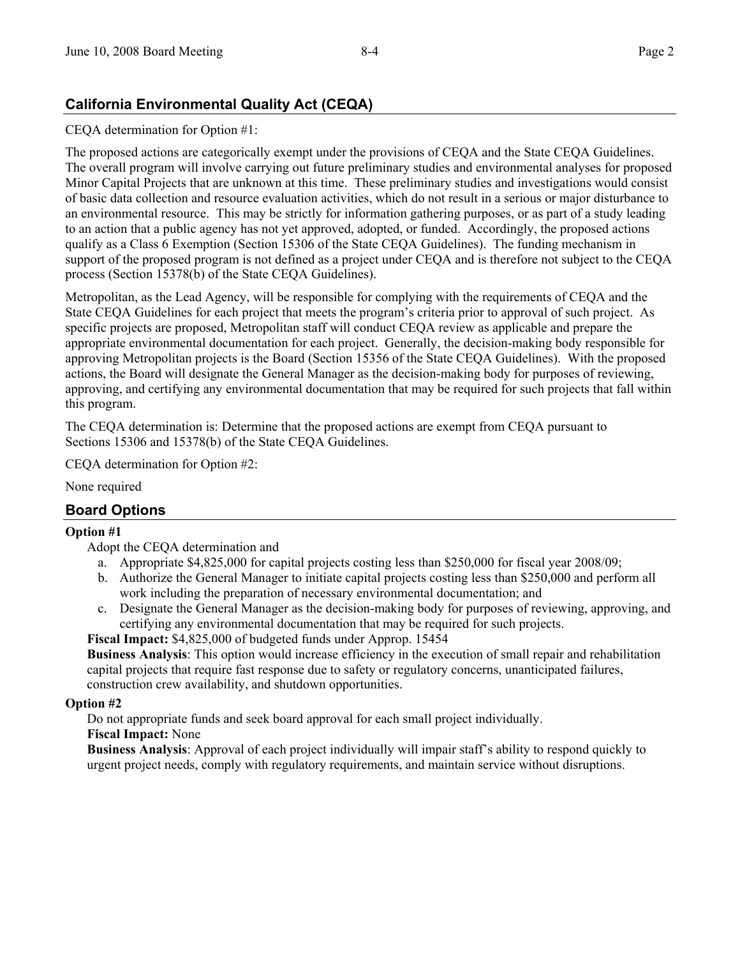# **California Environmental Quality Act (CEQA)**

### CEQA determination for Option #1:

The proposed actions are categorically exempt under the provisions of CEQA and the State CEQA Guidelines. The overall program will involve carrying out future preliminary studies and environmental analyses for proposed Minor Capital Projects that are unknown at this time. These preliminary studies and investigations would consist of basic data collection and resource evaluation activities, which do not result in a serious or major disturbance to an environmental resource. This may be strictly for information gathering purposes, or as part of a study leading to an action that a public agency has not yet approved, adopted, or funded. Accordingly, the proposed actions qualify as a Class 6 Exemption (Section 15306 of the State CEQA Guidelines). The funding mechanism in support of the proposed program is not defined as a project under CEQA and is therefore not subject to the CEQA process (Section 15378(b) of the State CEQA Guidelines).

Metropolitan, as the Lead Agency, will be responsible for complying with the requirements of CEQA and the State CEQA Guidelines for each project that meets the program's criteria prior to approval of such project. As specific projects are proposed, Metropolitan staff will conduct CEQA review as applicable and prepare the appropriate environmental documentation for each project. Generally, the decision-making body responsible for approving Metropolitan projects is the Board (Section 15356 of the State CEQA Guidelines). With the proposed actions, the Board will designate the General Manager as the decision-making body for purposes of reviewing, approving, and certifying any environmental documentation that may be required for such projects that fall within this program.

The CEQA determination is: Determine that the proposed actions are exempt from CEQA pursuant to Sections 15306 and 15378(b) of the State CEQA Guidelines.

CEQA determination for Option #2:

None required

### **Board Options**

#### **Option #1**

Adopt the CEQA determination and

- a. Appropriate \$4,825,000 for capital projects costing less than \$250,000 for fiscal year 2008/09;
- b. Authorize the General Manager to initiate capital projects costing less than \$250,000 and perform all work including the preparation of necessary environmental documentation; and
- c. Designate the General Manager as the decision-making body for purposes of reviewing, approving, and certifying any environmental documentation that may be required for such projects.

**Fiscal Impact:** \$4,825,000 of budgeted funds under Approp. 15454

**Business Analysis**: This option would increase efficiency in the execution of small repair and rehabilitation capital projects that require fast response due to safety or regulatory concerns, unanticipated failures, construction crew availability, and shutdown opportunities.

#### **Option #2**

Do not appropriate funds and seek board approval for each small project individually.

#### **Fiscal Impact:** None

**Business Analysis**: Approval of each project individually will impair staff's ability to respond quickly to urgent project needs, comply with regulatory requirements, and maintain service without disruptions.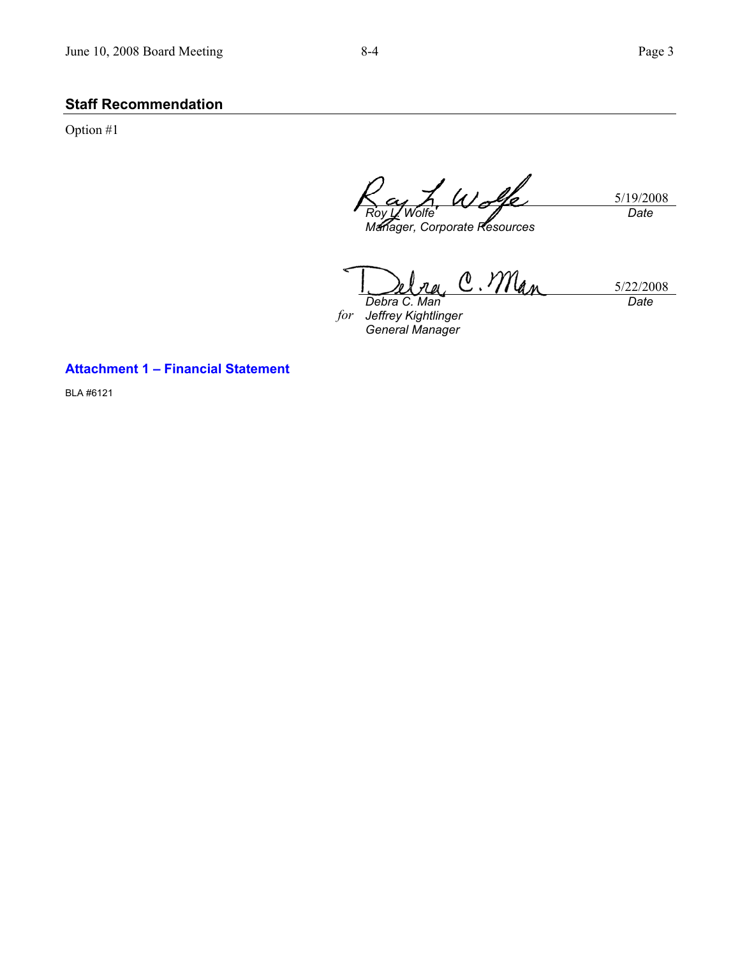# **Staff Recommendation**

Option #1

5/19/2008 *Roy L. Wolfe Manager, Corporate Resources Date* 

C. Man 5/22/2008 *Debra C. Man* 

*for Jeffrey Kightlinger General Manager* 

*Date* 

### **Attachment 1 – Financial Statement**

BLA #6121